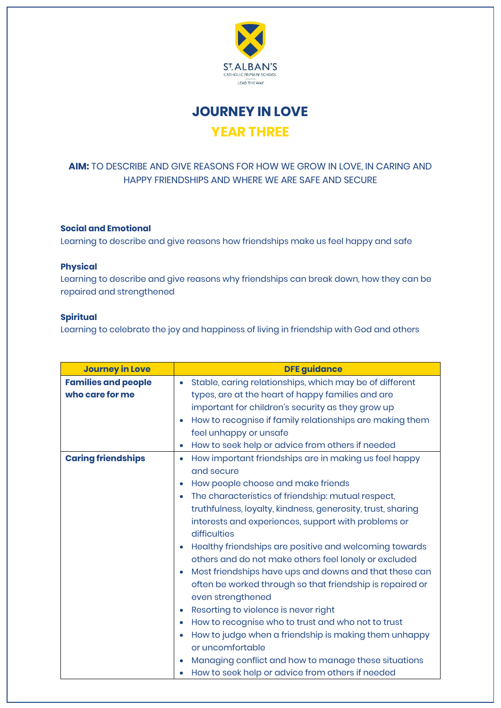

**JOURNEY IN LOVE YEAR THREE**

## **AIM:** TO DESCRIBE AND GIVE REASONS FOR HOW WE GROW IN LOVE, IN CARING AND HAPPY FRIENDSHIPS AND WHERE WE ARE SAFE AND SECURE

## **Social and Emotional**

Learning to describe and give reasons how friendships make us feel happy and safe

## **Physical**

Learning to describe and give reasons why friendships can break down, how they can be repaired and strengthened

## **Spiritual**

Learning to celebrate the joy and happiness of living in friendship with God and others

| <b>Journey in Love</b>     | <b>DFE guidance</b>                                                |
|----------------------------|--------------------------------------------------------------------|
| <b>Families and people</b> | Stable, caring relationships, which may be of different<br>۰       |
| who care for me            | types, are at the heart of happy families and are                  |
|                            | important for children's security as they grow up                  |
|                            | How to recognise if family relationships are making them           |
|                            | feel unhappy or unsafe                                             |
|                            | How to seek help or advice from others if needed<br>$\bullet$      |
| <b>Caring friendships</b>  | How important friendships are in making us feel happy<br>$\bullet$ |
|                            | and secure                                                         |
|                            | How people choose and make friends                                 |
|                            | The characteristics of friendship: mutual respect,                 |
|                            | truthfulness, loyalty, kindness, generosity, trust, sharing        |
|                            | interests and experiences, support with problems or                |
|                            | difficulties                                                       |
|                            | Healthy friendships are positive and welcoming towards             |
|                            | others and do not make others feel lonely or excluded              |
|                            | Most friendships have ups and downs and that these can             |
|                            | often be worked through so that friendship is repaired or          |
|                            | even strengthened                                                  |
|                            | Resorting to violence is never right                               |
|                            | How to recognise who to trust and who not to trust                 |
|                            | How to judge when a friendship is making them unhappy              |
|                            | or uncomfortable                                                   |
|                            | Managing conflict and how to manage these situations               |
|                            | How to seek help or advice from others if needed                   |